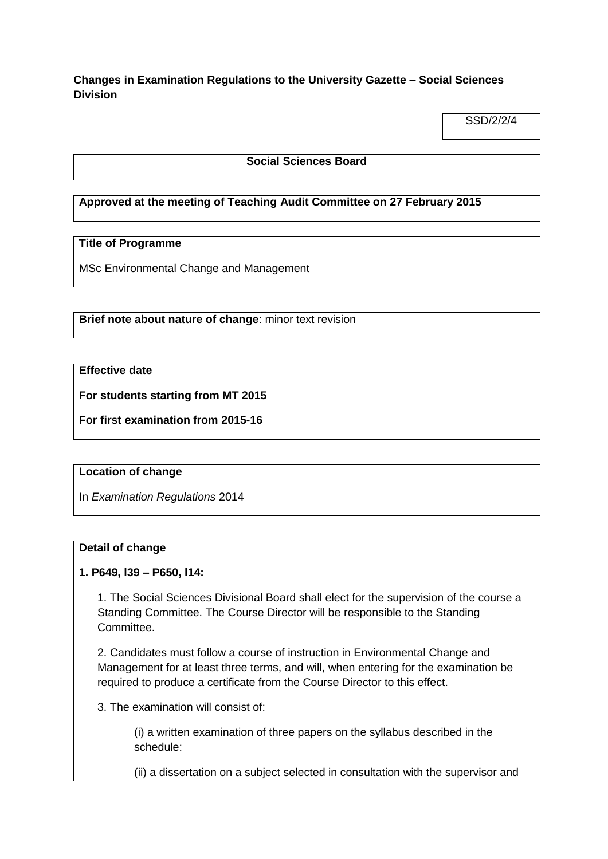**Changes in Examination Regulations to the University Gazette – Social Sciences Division**

SSD/2/2/4

### **Social Sciences Board**

# **Approved at the meeting of Teaching Audit Committee on 27 February 2015**

# **Title of Programme**

MSc Environmental Change and Management

**Brief note about nature of change**: minor text revision

# **Effective date**

**For students starting from MT 2015**

**For first examination from 2015-16**

#### **Location of change**

In *Examination Regulations* 2014

#### **Detail of change**

### **1. P649, l39 – P650, l14:**

1. The Social Sciences Divisional Board shall elect for the supervision of the course a Standing Committee. The Course Director will be responsible to the Standing Committee.

2. Candidates must follow a course of instruction in Environmental Change and Management for at least three terms, and will, when entering for the examination be required to produce a certificate from the Course Director to this effect.

3. The examination will consist of:

(i) a written examination of three papers on the syllabus described in the schedule:

(ii) a dissertation on a subject selected in consultation with the supervisor and